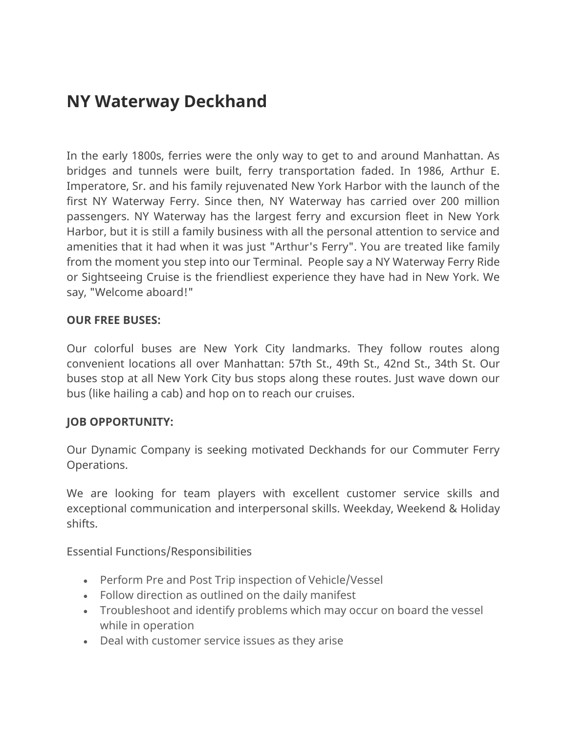## **NY Waterway Deckhand**

In the early 1800s, ferries were the only way to get to and around Manhattan. As bridges and tunnels were built, ferry transportation faded. In 1986, Arthur E. Imperatore, Sr. and his family rejuvenated New York Harbor with the launch of the first NY Waterway Ferry. Since then, NY Waterway has carried over 200 million passengers. NY Waterway has the largest ferry and excursion fleet in New York Harbor, but it is still a family business with all the personal attention to service and amenities that it had when it was just "Arthur's Ferry". You are treated like family from the moment you step into our Terminal. People say a NY Waterway Ferry Ride or Sightseeing Cruise is the friendliest experience they have had in New York. We say, "Welcome aboard!"

## **OUR FREE BUSES:**

Our colorful buses are New York City landmarks. They follow routes along convenient locations all over Manhattan: 57th St., 49th St., 42nd St., 34th St. Our buses stop at all New York City bus stops along these routes. Just wave down our bus (like hailing a cab) and hop on to reach our cruises.

## **JOB OPPORTUNITY:**

Our Dynamic Company is seeking motivated Deckhands for our Commuter Ferry Operations.

We are looking for team players with excellent customer service skills and exceptional communication and interpersonal skills. Weekday, Weekend & Holiday shifts.

Essential Functions/Responsibilities

- Perform Pre and Post Trip inspection of Vehicle/Vessel
- Follow direction as outlined on the daily manifest
- Troubleshoot and identify problems which may occur on board the vessel while in operation
- Deal with customer service issues as they arise